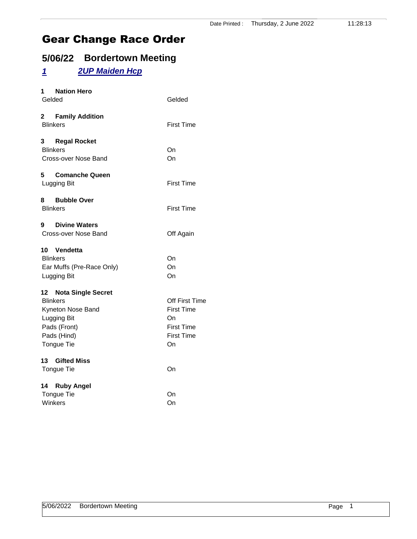# **5/06/22 Bordertown Meeting**

# *1 2UP Maiden Hcp*

| 1 Nation Hero<br>Gelded                                                                                                   | Gelded                                                                                    |
|---------------------------------------------------------------------------------------------------------------------------|-------------------------------------------------------------------------------------------|
| 2 Family Addition<br><b>Blinkers</b>                                                                                      | <b>First Time</b>                                                                         |
| 3 Regal Rocket<br><b>Blinkers</b><br>Cross-over Nose Band                                                                 | On<br>On                                                                                  |
| 5<br><b>Comanche Queen</b><br>Lugging Bit                                                                                 | <b>First Time</b>                                                                         |
| 8<br>Bubble Over<br><b>Blinkers</b>                                                                                       | <b>First Time</b>                                                                         |
| 9 Divine Waters<br>Cross-over Nose Band                                                                                   | Off Again                                                                                 |
| 10 Vendetta<br><b>Blinkers</b><br>Ear Muffs (Pre-Race Only)<br>Lugging Bit                                                | On<br>On<br>On                                                                            |
| 12 Nota Single Secret<br><b>Blinkers</b><br>Kyneton Nose Band<br>Lugging Bit<br>Pads (Front)<br>Pads (Hind)<br>Tongue Tie | Off First Time<br><b>First Time</b><br>On<br><b>First Time</b><br><b>First Time</b><br>On |
| 13 Gifted Miss<br>Tongue Tie                                                                                              | On                                                                                        |
| 14 Ruby Angel<br><b>Tongue Tie</b><br>Winkers                                                                             | On<br>On                                                                                  |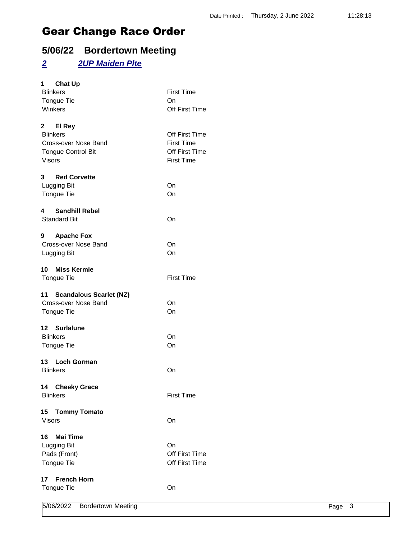# **5/06/22 Bordertown Meeting**

### *2 2UP Maiden Plte*

| 5/06/2022                                          | <b>Bordertown Meeting</b> | Page 3            |  |
|----------------------------------------------------|---------------------------|-------------------|--|
| <b>French Horn</b><br>17<br>Tongue Tie             |                           | On                |  |
|                                                    |                           |                   |  |
| Tongue Tie                                         |                           | Off First Time    |  |
| Pads (Front)                                       |                           | Off First Time    |  |
| Lugging Bit                                        |                           | On                |  |
| <b>Mai Time</b><br>16                              |                           |                   |  |
| <b>Visors</b>                                      |                           | On                |  |
| 15 Tommy Tomato                                    |                           |                   |  |
| <b>Blinkers</b>                                    |                           | <b>First Time</b> |  |
| 14 Cheeky Grace                                    |                           |                   |  |
| <b>Blinkers</b>                                    |                           | On                |  |
| 13 Loch Gorman                                     |                           |                   |  |
| Tongue Tie                                         |                           | On                |  |
| <b>Blinkers</b>                                    |                           | On                |  |
| 12 Surlalune                                       |                           |                   |  |
| Tongue Tie                                         |                           | On                |  |
| 11 Scandalous Scarlet (NZ)<br>Cross-over Nose Band |                           | On                |  |
|                                                    |                           |                   |  |
| Tongue Tie                                         |                           | <b>First Time</b> |  |
| 10 Miss Kermie                                     |                           |                   |  |
| Lugging Bit                                        |                           | On                |  |
| Cross-over Nose Band                               |                           | On                |  |
| 9<br><b>Apache Fox</b>                             |                           |                   |  |
| <b>Standard Bit</b>                                |                           | On                |  |
| <b>Sandhill Rebel</b><br>4                         |                           |                   |  |
|                                                    |                           |                   |  |
| Lugging Bit<br>Tongue Tie                          |                           | On                |  |
| 3 <sup>7</sup><br><b>Red Corvette</b>              |                           | On                |  |
|                                                    |                           |                   |  |
| <b>Visors</b>                                      |                           | <b>First Time</b> |  |
| <b>Tongue Control Bit</b>                          |                           | Off First Time    |  |
| Cross-over Nose Band                               |                           | <b>First Time</b> |  |
| <b>Blinkers</b>                                    |                           | Off First Time    |  |
| 2 El Rey                                           |                           |                   |  |
| Winkers                                            |                           | Off First Time    |  |
| Tongue Tie                                         |                           | On                |  |
| <b>Blinkers</b>                                    |                           | <b>First Time</b> |  |
| $1 \quad$<br><b>Chat Up</b>                        |                           |                   |  |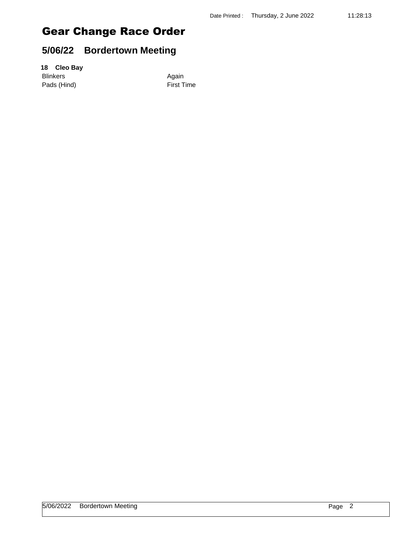# **5/06/22 Bordertown Meeting**

#### **18 Cleo Bay**

Blinkers Again Pads (Hind) First Time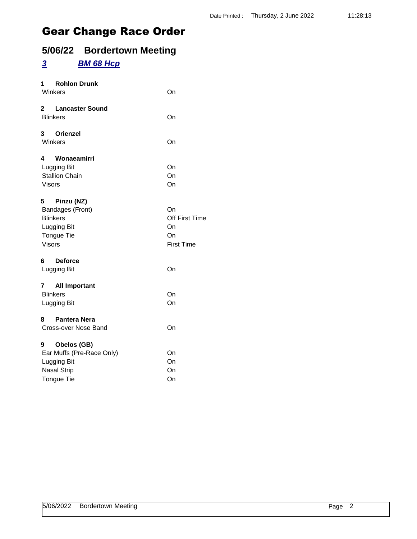# **5/06/22 Bordertown Meeting**

### *3 BM 68 Hcp*

| 1 Rohlon Drunk<br>Winkers                                                                               | On                                                    |
|---------------------------------------------------------------------------------------------------------|-------------------------------------------------------|
| $2^{\sim}$<br><b>Lancaster Sound</b><br><b>Blinkers</b>                                                 | On                                                    |
| 3 Orienzel<br>Winkers                                                                                   | On                                                    |
| Wonaeamirri<br>4<br>Lugging Bit<br><b>Stallion Chain</b><br><b>Visors</b>                               | On<br>On<br>On                                        |
| 5<br>Pinzu (NZ)<br>Bandages (Front)<br><b>Blinkers</b><br>Lugging Bit<br>Tongue Tie<br><b>Visors</b>    | On<br>Off First Time<br>On<br>On<br><b>First Time</b> |
| 6 Deforce<br>Lugging Bit                                                                                | On                                                    |
| 7 All Important<br><b>Blinkers</b><br>Lugging Bit                                                       | On<br>On                                              |
| <b>Pantera Nera</b><br>8<br>Cross-over Nose Band                                                        | On                                                    |
| Obelos (GB)<br>9<br>Ear Muffs (Pre-Race Only)<br>Lugging Bit<br><b>Nasal Strip</b><br><b>Tongue Tie</b> | On<br>On<br>On<br>On                                  |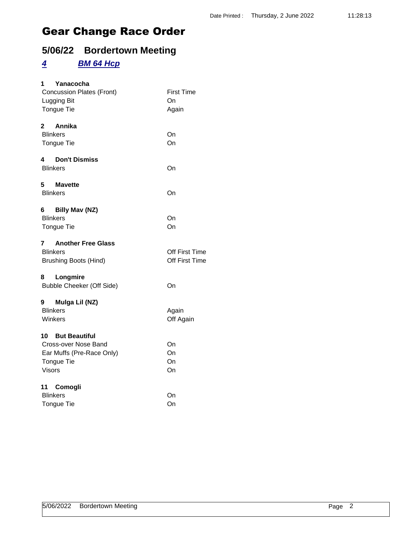# **5/06/22 Bordertown Meeting**

### *4 BM 64 Hcp*

| 1<br>Yanacocha                   |                   |
|----------------------------------|-------------------|
| <b>Concussion Plates (Front)</b> | <b>First Time</b> |
| Lugging Bit                      | On                |
| <b>Tongue Tie</b>                | Again             |
| Annika<br>$\mathbf{2}$           |                   |
| <b>Blinkers</b>                  | On                |
| <b>Tongue Tie</b>                | On                |
| <b>Don't Dismiss</b><br>4        |                   |
| <b>Blinkers</b>                  | On                |
| 5<br><b>Mavette</b>              |                   |
| <b>Blinkers</b>                  | On                |
| Billy Mav (NZ)<br>6 —            |                   |
| <b>Blinkers</b>                  | On                |
| Tongue Tie                       | On                |
| <b>Another Free Glass</b><br>7   |                   |
| <b>Blinkers</b>                  | Off First Time    |
| <b>Brushing Boots (Hind)</b>     | Off First Time    |
| Longmire<br>8                    |                   |
| Bubble Cheeker (Off Side)        | On                |
| Mulga Lil (NZ)<br>9              |                   |
| <b>Blinkers</b>                  | Again             |
| Winkers                          | Off Again         |
| <b>10 But Beautiful</b>          |                   |
| Cross-over Nose Band             | On                |
| Ear Muffs (Pre-Race Only)        | On                |
| <b>Tongue Tie</b>                | On                |
| <b>Visors</b>                    | On                |
| 11 Comogli                       |                   |
| <b>Blinkers</b>                  | On                |
| <b>Tongue Tie</b>                | On                |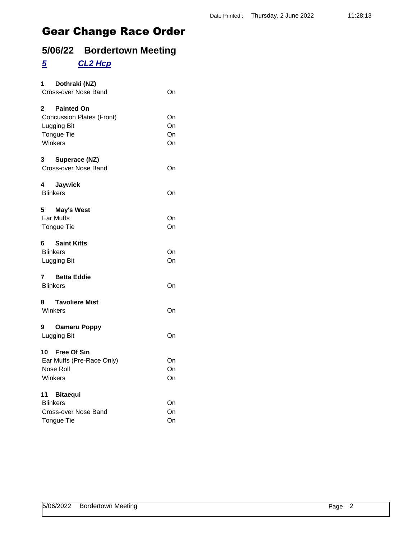# **5/06/22 Bordertown Meeting**

# *5 CL2 Hcp*

| 1 Dothraki (NZ)<br>Cross-over Nose Band                                                         | On                   |
|-------------------------------------------------------------------------------------------------|----------------------|
| 2 Painted On<br><b>Concussion Plates (Front)</b><br><b>Lugging Bit</b><br>Tongue Tie<br>Winkers | On<br>On<br>On<br>On |
| 3 Superace (NZ)<br>Cross-over Nose Band                                                         | On                   |
| 4 Jaywick<br><b>Blinkers</b>                                                                    | On                   |
| 5 May's West<br>Ear Muffs<br><b>Tongue Tie</b>                                                  | On<br>On             |
| 6<br><b>Saint Kitts</b><br><b>Blinkers</b><br>Lugging Bit                                       | On<br>On             |
| 7 Betta Eddie<br><b>Blinkers</b>                                                                | On                   |
| <b>Tavoliere Mist</b><br>8<br>Winkers                                                           | On                   |
| 9 Oamaru Poppy<br>Lugging Bit                                                                   | On                   |
| 10 Free Of Sin<br>Ear Muffs (Pre-Race Only)<br>Nose Roll<br>Winkers                             | On<br>On<br>On       |
| 11 Bitaequi<br><b>Blinkers</b><br>Cross-over Nose Band<br><b>Tongue Tie</b>                     | On<br>On<br>On       |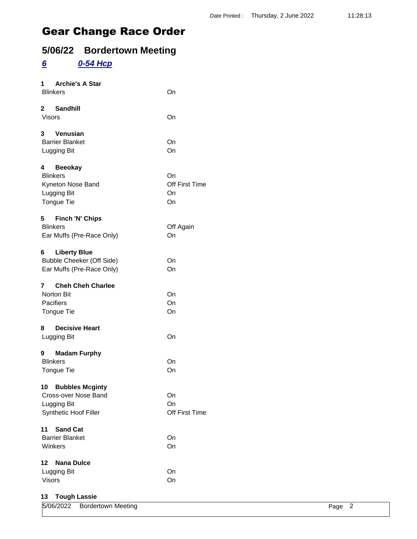# **5/06/22 Bordertown Meeting**

### *6 0-54 Hcp*

| <b>Archie's A Star</b><br>1.<br><b>Blinkers</b>                                           | On                               |
|-------------------------------------------------------------------------------------------|----------------------------------|
| 2 Sandhill<br>Visors                                                                      | On                               |
| 3 Venusian<br><b>Barrier Blanket</b><br>Lugging Bit                                       | On<br>On                         |
| 4 Beeokay<br><b>Blinkers</b><br>Kyneton Nose Band<br>Lugging Bit<br>Tongue Tie            | On<br>Off First Time<br>On<br>On |
| 5 Finch 'N' Chips<br><b>Blinkers</b><br>Ear Muffs (Pre-Race Only)                         | Off Again<br>On                  |
| <b>Liberty Blue</b><br>6<br><b>Bubble Cheeker (Off Side)</b><br>Ear Muffs (Pre-Race Only) | On<br>On                         |
| <b>Cheh Cheh Charlee</b><br>7<br><b>Norton Bit</b><br>Pacifiers<br>Tongue Tie             | On<br>On<br>On                   |
| 8 Decisive Heart<br>Lugging Bit                                                           | On                               |
| 9 Madam Furphy<br><b>Blinkers</b><br>Tongue Tie                                           | On<br>On                         |
| 10 Bubbles Mcginty<br>Cross-over Nose Band<br>Lugging Bit<br>Synthetic Hoof Filler        | On<br>On<br>Off First Time       |
| 11<br><b>Sand Cat</b><br><b>Barrier Blanket</b><br>Winkers                                | On<br>On                         |
| $12 \,$<br><b>Nana Dulce</b><br>Lugging Bit<br>Visors                                     | On<br>On                         |

#### **13 Tough Lassie**

| 5/06/2022<br>_____ | <b>Bordertown Meeting</b> | Pane |  |
|--------------------|---------------------------|------|--|
|                    |                           |      |  |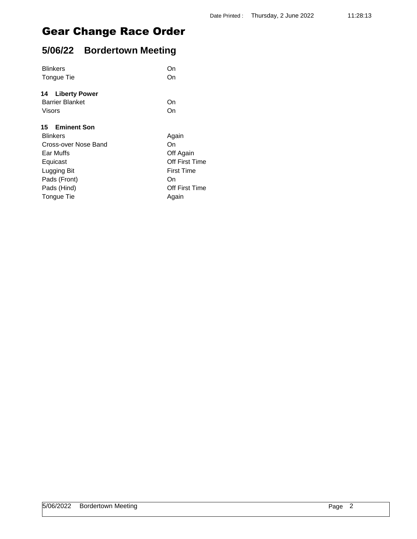# **5/06/22 Bordertown Meeting**

| On                |
|-------------------|
| On                |
|                   |
| On                |
| On                |
|                   |
| Again             |
| On                |
| Off Again         |
| Off First Time    |
| <b>First Time</b> |
| On                |
| Off First Time    |
| Again             |
|                   |